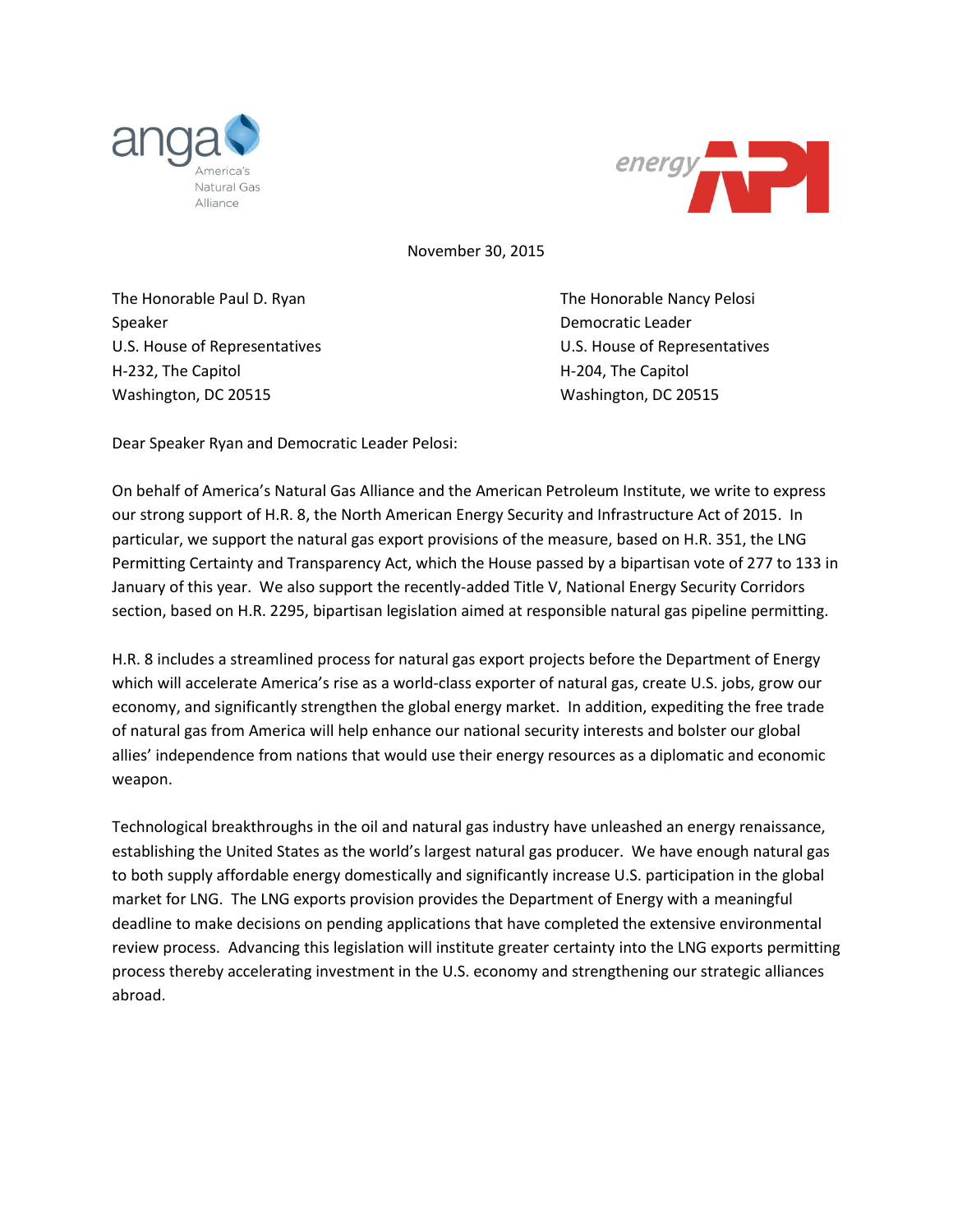



November 30, 2015

The Honorable Paul D. Ryan The Honorable Nancy Pelosi Speaker **Democratic Leader Democratic Leader** H-232, The Capitol **H-204**, The Capitol **H-204**, The Capitol Washington, DC 20515 Washington, DC 20515

U.S. House of Representatives U.S. House of Representatives

Dear Speaker Ryan and Democratic Leader Pelosi:

On behalf of America's Natural Gas Alliance and the American Petroleum Institute, we write to express our strong support of H.R. 8, the North American Energy Security and Infrastructure Act of 2015. In particular, we support the natural gas export provisions of the measure, based on H.R. 351, the LNG Permitting Certainty and Transparency Act, which the House passed by a bipartisan vote of 277 to 133 in January of this year. We also support the recently-added Title V, National Energy Security Corridors section, based on H.R. 2295, bipartisan legislation aimed at responsible natural gas pipeline permitting.

H.R. 8 includes a streamlined process for natural gas export projects before the Department of Energy which will accelerate America's rise as a world-class exporter of natural gas, create U.S. jobs, grow our economy, and significantly strengthen the global energy market. In addition, expediting the free trade of natural gas from America will help enhance our national security interests and bolster our global allies' independence from nations that would use their energy resources as a diplomatic and economic weapon.

Technological breakthroughs in the oil and natural gas industry have unleashed an energy renaissance, establishing the United States as the world's largest natural gas producer. We have enough natural gas to both supply affordable energy domestically and significantly increase U.S. participation in the global market for LNG. The LNG exports provision provides the Department of Energy with a meaningful deadline to make decisions on pending applications that have completed the extensive environmental review process. Advancing this legislation will institute greater certainty into the LNG exports permitting process thereby accelerating investment in the U.S. economy and strengthening our strategic alliances abroad.